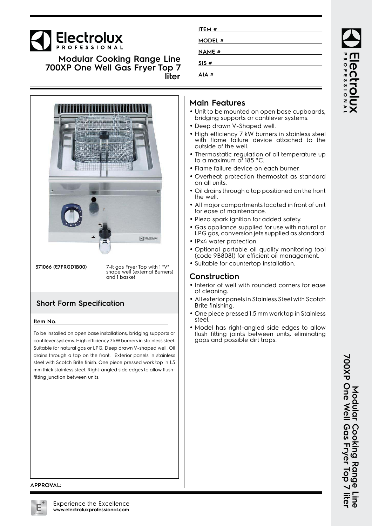# Electrolux

**Modular Cooking Range Line 700XP One Well Gas Fryer Top 7 liter**



**371066 (E7FRGD1B00)** 7-lt gas Fryer Top with 1 "V" shape well (external Burners) and 1 basket

## **Short Form Specification**

#### **Item No.**

To be installed on open base installations, bridging supports or cantilever systems. High efficiency 7 kW burners in stainless steel. Suitable for natural gas or LPG. Deep drawn V-shaped well. Oil drains through a tap on the front. Exterior panels in stainless steel with Scotch Brite finish. One piece pressed work top in 1.5 mm thick stainless steel. Right-angled side edges to allow flushfitting junction between units.

| ITEM #<br><u> 1989 - John Stein, markin sammen fyrst stjórn og fyrstu sem fyrstu sem fyrstu sem fyrstu sem fyrstu sem fyrst</u> |  |
|---------------------------------------------------------------------------------------------------------------------------------|--|
| <b>MODEL#</b>                                                                                                                   |  |
| <b>NAME</b> #                                                                                                                   |  |
| SIS#                                                                                                                            |  |
| AIA#                                                                                                                            |  |

## **Main Features**

- Unit to be mounted on open base cupboards, bridging supports or cantilever systems.
- Deep drawn V-Shaped well.
- High efficiency 7 kW burners in stainless steel with flame failure device attached to the outside of the well.
- • Thermostatic regulation of oil temperature up to a maximum of 185 °C.
- Flame failure device on each burner.
- Overheat protection thermostat as standard on all units.
- • Oil drains through a tap positioned on the front the well.
- • All major compartments located in front of unit for ease of maintenance.
- Piezo spark ignition for added safety.
- • Gas appliance supplied for use with natural or LPG gas, conversion jets supplied as standard.
- IPx4 water protection.
- Optional portable oil quality monitoring tool (code 9B8081) for efficient oil management.
- Suitable for countertop installation.

### **Construction**

- Interior of well with rounded corners for ease of cleaning.
- • All exterior panels in Stainless Steel with Scotch Brite finishing.
- • One piece pressed 1.5 mm work top in Stainless steel.
- • Model has right-angled side edges to allow flush fitting joints between units, eliminating gaps and possible dirt traps.

**AOTESSIONA** 

**700XP One Well Gas Fryer Top 7 liter** Modular Cooking Range Line<br>700XP One Well Gas Fryer Top 7 liter **Modular Cooking Range Line**

#### **APPROVAL:**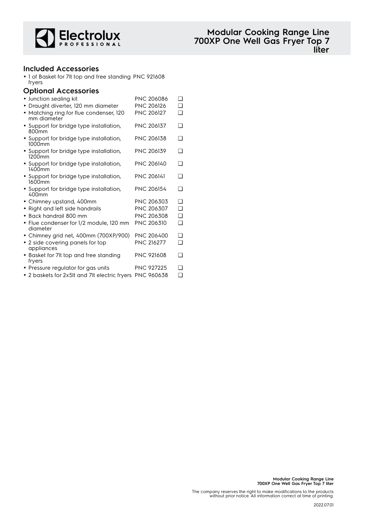

### **Included Accessories**

• 1 of Basket for 7lt top and free standing PNC 921608 fryers

#### **Optional Accessories**

| • Junction sealing kit                                            | PNC 206086        | $\Box$   |
|-------------------------------------------------------------------|-------------------|----------|
| · Draught diverter, 120 mm diameter                               | <b>PNC 206126</b> | <b>□</b> |
| Matching ring for flue condenser, 120<br>$\bullet$<br>mm diameter | <b>PNC 206127</b> | ❏        |
| • Support for bridge type installation,<br>800mm                  | <b>PNC 206137</b> | ∩        |
| • Support for bridge type installation,<br>1000mm                 | <b>PNC 206138</b> | ❏        |
| • Support for bridge type installation,<br>1200 <sub>mm</sub>     | <b>PNC 206139</b> | ∩        |
| • Support for bridge type installation,<br>1400mm                 | <b>PNC 206140</b> | ∩        |
| • Support for bridge type installation,<br>1600mm                 | <b>PNC 206141</b> | ∩        |
| • Support for bridge type installation,<br>400mm                  | <b>PNC 206154</b> | ∩        |
| • Chimney upstand, 400mm                                          | <b>PNC 206303</b> | ∩        |
| Right and left side handrails<br>$\bullet$                        | PNC 206307        | ◻        |
| Back handrail 800 mm<br>$\bullet$                                 | PNC 206308        | ❏        |
| · Flue condenser for 1/2 module, 120 mm<br>diameter               | <b>PNC 206310</b> | <b>□</b> |
| • Chimney grid net, 400mm (700XP/900)                             | <b>PNC 206400</b> | <b>□</b> |
| • 2 side covering panels for top<br>appliances                    | <b>PNC 216277</b> | ∩        |
| • Basket for 7It top and free standing<br>fryers                  | <b>PNC 921608</b> | <b>□</b> |
| • Pressure regulator for gas units                                | <b>PNC 927225</b> | ∩        |
| • 2 baskets for 2x5It and 7It electric fryers                     | <b>PNC 960638</b> | $\Box$   |